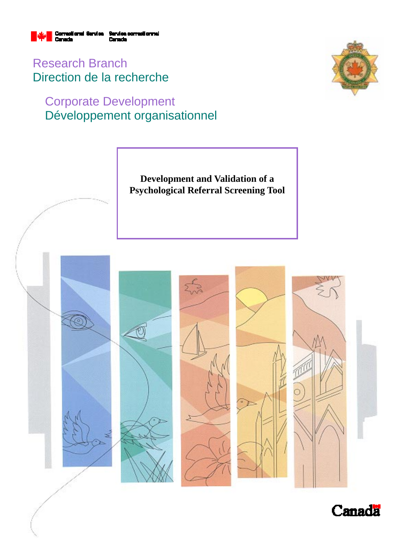

Research Branch Direction de la recherche

# Corporate Development Développement organisationnel



**Development and Validation of a Psychological Referral Screening Tool** 



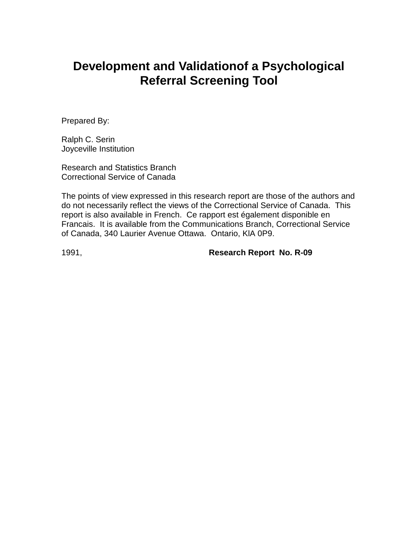# **Development and Validationof a Psychological Referral Screening Tool**

Prepared By:

Ralph C. Serin Joyceville Institution

Research and Statistics Branch Correctional Service of Canada

The points of view expressed in this research report are those of the authors and do not necessarily reflect the views of the Correctional Service of Canada. This report is also available in French. Ce rapport est également disponible en Francais. It is available from the Communications Branch, Correctional Service of Canada, 340 Laurier Avenue Ottawa. Ontario, KlA 0P9.

1991, **Research Report No. R-09**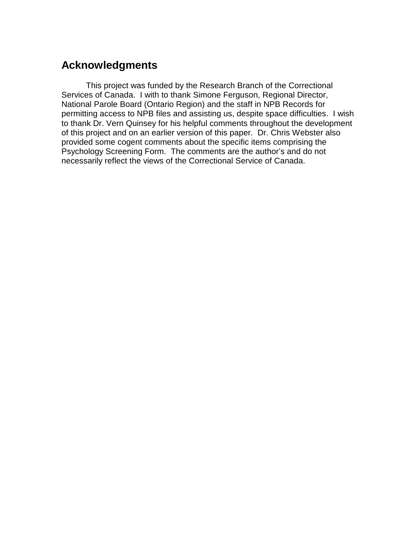# **Acknowledgments**

This project was funded by the Research Branch of the Correctional Services of Canada. I with to thank Simone Ferguson, Regional Director, National Parole Board (Ontario Region) and the staff in NPB Records for permitting access to NPB files and assisting us, despite space difficulties. I wish to thank Dr. Vern Quinsey for his helpful comments throughout the development of this project and on an earlier version of this paper. Dr. Chris Webster also provided some cogent comments about the specific items comprising the Psychology Screening Form. The comments are the author's and do not necessarily reflect the views of the Correctional Service of Canada.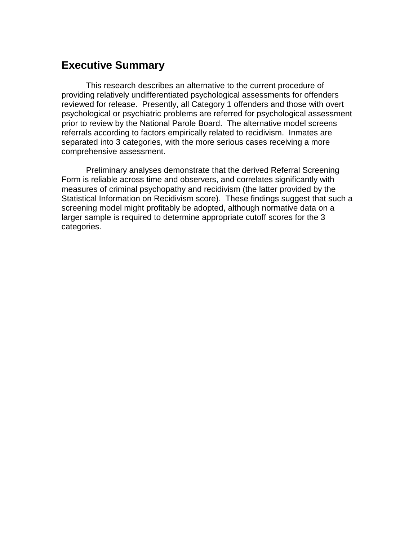## **Executive Summary**

This research describes an alternative to the current procedure of providing relatively undifferentiated psychological assessments for offenders reviewed for release. Presently, all Category 1 offenders and those with overt psychological or psychiatric problems are referred for psychological assessment prior to review by the National Parole Board. The alternative model screens referrals according to factors empirically related to recidivism. Inmates are separated into 3 categories, with the more serious cases receiving a more comprehensive assessment.

Preliminary analyses demonstrate that the derived Referral Screening Form is reliable across time and observers, and correlates significantly with measures of criminal psychopathy and recidivism (the latter provided by the Statistical Information on Recidivism score). These findings suggest that such a screening model might profitably be adopted, although normative data on a larger sample is required to determine appropriate cutoff scores for the 3 categories.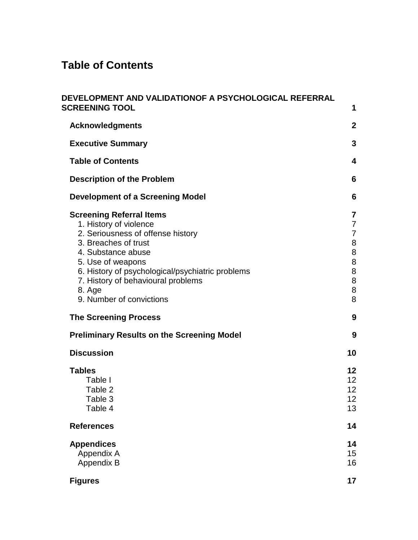# **Table of Contents**

| DEVELOPMENT AND VALIDATIONOF A PSYCHOLOGICAL REFERRAL<br><b>SCREENING TOOL</b>                                                                                                                                                                                                                                                    | 1                                                                         |
|-----------------------------------------------------------------------------------------------------------------------------------------------------------------------------------------------------------------------------------------------------------------------------------------------------------------------------------|---------------------------------------------------------------------------|
| <b>Acknowledgments</b>                                                                                                                                                                                                                                                                                                            | $\boldsymbol{2}$                                                          |
| <b>Executive Summary</b>                                                                                                                                                                                                                                                                                                          | 3                                                                         |
| <b>Table of Contents</b>                                                                                                                                                                                                                                                                                                          | 4                                                                         |
| <b>Description of the Problem</b>                                                                                                                                                                                                                                                                                                 | 6                                                                         |
| Development of a Screening Model                                                                                                                                                                                                                                                                                                  | 6                                                                         |
| <b>Screening Referral Items</b><br>1. History of violence<br>2. Seriousness of offense history<br>3. Breaches of trust<br>4. Substance abuse<br>5. Use of weapons<br>6. History of psychological/psychiatric problems<br>7. History of behavioural problems<br>8. Age<br>9. Number of convictions<br><b>The Screening Process</b> | 7<br>7<br>7<br>8<br>$\, 8$<br>8<br>$\bf 8$<br>$\, 8$<br>$\bf 8$<br>8<br>9 |
| <b>Preliminary Results on the Screening Model</b>                                                                                                                                                                                                                                                                                 | 9                                                                         |
| <b>Discussion</b>                                                                                                                                                                                                                                                                                                                 | 10                                                                        |
| <b>Tables</b><br>Table I<br>Table 2<br>Table 3<br>Table 4                                                                                                                                                                                                                                                                         | 12<br>12<br>12<br>12<br>13                                                |
| <b>References</b>                                                                                                                                                                                                                                                                                                                 | 14                                                                        |
| <b>Appendices</b><br>Appendix A<br>Appendix B                                                                                                                                                                                                                                                                                     | 14<br>15<br>16                                                            |
| <b>Figures</b>                                                                                                                                                                                                                                                                                                                    | 17                                                                        |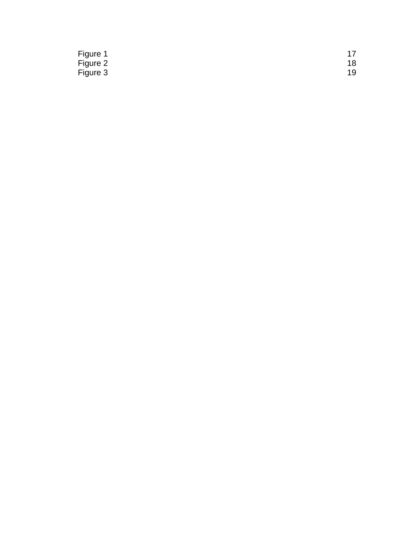| Figure 1 |    |
|----------|----|
| Figure 2 | 18 |
| Figure 3 | 19 |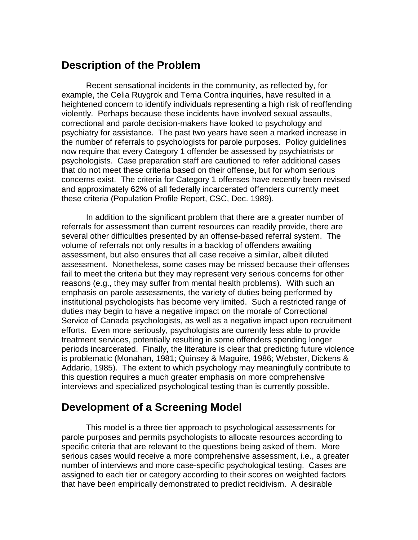## **Description of the Problem**

Recent sensational incidents in the community, as reflected by, for example, the Celia Ruygrok and Tema Contra inquiries, have resulted in a heightened concern to identify individuals representing a high risk of reoffending violently. Perhaps because these incidents have involved sexual assaults, correctional and parole decision-makers have looked to psychology and psychiatry for assistance. The past two years have seen a marked increase in the number of referrals to psychologists for parole purposes. Policy guidelines now require that every Category 1 offender be assessed by psychiatrists or psychologists. Case preparation staff are cautioned to refer additional cases that do not meet these criteria based on their offense, but for whom serious concerns exist. The criteria for Category 1 offenses have recently been revised and approximately 62% of all federally incarcerated offenders currently meet these criteria (Population Profile Report, CSC, Dec. 1989).

In addition to the significant problem that there are a greater number of referrals for assessment than current resources can readily provide, there are several other difficulties presented by an offense-based referral system. The volume of referrals not only results in a backlog of offenders awaiting assessment, but also ensures that all case receive a similar, albeit diluted assessment. Nonetheless, some cases may be missed because their offenses fail to meet the criteria but they may represent very serious concerns for other reasons (e.g., they may suffer from mental health problems). With such an emphasis on parole assessments, the variety of duties being performed by institutional psychologists has become very limited. Such a restricted range of duties may begin to have a negative impact on the morale of Correctional Service of Canada psychologists, as well as a negative impact upon recruitment efforts. Even more seriously, psychologists are currently less able to provide treatment services, potentially resulting in some offenders spending longer periods incarcerated. Finally, the literature is clear that predicting future violence is problematic (Monahan, 1981; Quinsey & Maguire, 1986; Webster, Dickens & Addario, 1985). The extent to which psychology may meaningfully contribute to this question requires a much greater emphasis on more comprehensive interviews and specialized psychological testing than is currently possible.

# **Development of a Screening Model**

This model is a three tier approach to psychological assessments for parole purposes and permits psychologists to allocate resources according to specific criteria that are relevant to the questions being asked of them. More serious cases would receive a more comprehensive assessment, i.e., a greater number of interviews and more case-specific psychological testing. Cases are assigned to each tier or category according to their scores on weighted factors that have been empirically demonstrated to predict recidivism. A desirable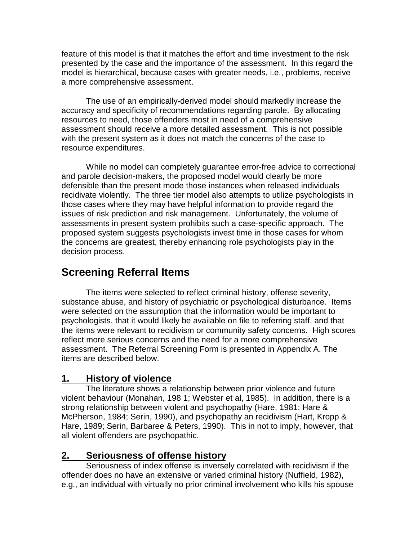feature of this model is that it matches the effort and time investment to the risk presented by the case and the importance of the assessment. In this regard the model is hierarchical, because cases with greater needs, i.e., problems, receive a more comprehensive assessment.

The use of an empirically-derived model should markedly increase the accuracy and specificity of recommendations regarding parole. By allocating resources to need, those offenders most in need of a comprehensive assessment should receive a more detailed assessment. This is not possible with the present system as it does not match the concerns of the case to resource expenditures.

While no model can completely guarantee error-free advice to correctional and parole decision-makers, the proposed model would clearly be more defensible than the present mode those instances when released individuals recidivate violently. The three tier model also attempts to utilize psychologists in those cases where they may have helpful information to provide regard the issues of risk prediction and risk management. Unfortunately, the volume of assessments in present system prohibits such a case-specific approach. The proposed system suggests psychologists invest time in those cases for whom the concerns are greatest, thereby enhancing role psychologists play in the decision process.

# **Screening Referral Items**

The items were selected to reflect criminal history, offense severity, substance abuse, and history of psychiatric or psychological disturbance. Items were selected on the assumption that the information would be important to psychologists, that it would likely be available on file to referring staff, and that the items were relevant to recidivism or community safety concerns. High scores reflect more serious concerns and the need for a more comprehensive assessment. The Referral Screening Form is presented in Appendix A. The items are described below.

### **1. History of violence**

The literature shows a relationship between prior violence and future violent behaviour (Monahan, 198 1; Webster et al, 1985). In addition, there is a strong relationship between violent and psychopathy (Hare, 1981; Hare & McPherson, 1984; Serin, 1990), and psychopathy an recidivism (Hart, Kropp & Hare, 1989; Serin, Barbaree & Peters, 1990). This in not to imply, however, that all violent offenders are psychopathic.

#### **2. Seriousness of offense history**

Seriousness of index offense is inversely correlated with recidivism if the offender does no have an extensive or varied criminal history (Nuffield, 1982), e.g., an individual with virtually no prior criminal involvement who kills his spouse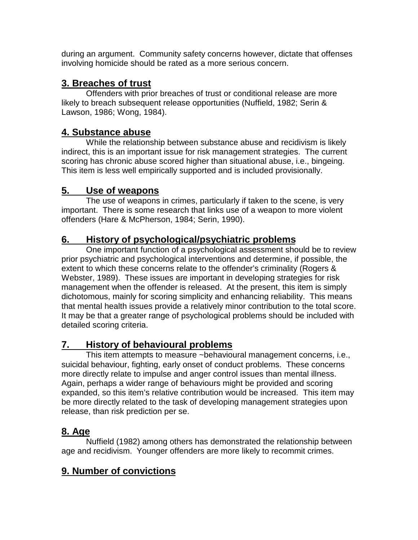during an argument. Community safety concerns however, dictate that offenses involving homicide should be rated as a more serious concern.

## **3. Breaches of trust**

Offenders with prior breaches of trust or conditional release are more likely to breach subsequent release opportunities (Nuffield, 1982; Serin & Lawson, 1986; Wong, 1984).

### **4. Substance abuse**

While the relationship between substance abuse and recidivism is likely indirect, this is an important issue for risk management strategies. The current scoring has chronic abuse scored higher than situational abuse, i.e., bingeing. This item is less well empirically supported and is included provisionally.

### **5. Use of weapons**

The use of weapons in crimes, particularly if taken to the scene, is very important. There is some research that links use of a weapon to more violent offenders (Hare & McPherson, 1984; Serin, 1990).

### **6. History of psychological/psychiatric problems**

One important function of a psychological assessment should be to review prior psychiatric and psychological interventions and determine, if possible, the extent to which these concerns relate to the offender's criminality (Rogers & Webster, 1989). These issues are important in developing strategies for risk management when the offender is released. At the present, this item is simply dichotomous, mainly for scoring simplicity and enhancing reliability. This means that mental health issues provide a relatively minor contribution to the total score. It may be that a greater range of psychological problems should be included with detailed scoring criteria.

## **7. History of behavioural problems**

This item attempts to measure ~behavioural management concerns, i.e., suicidal behaviour, fighting, early onset of conduct problems. These concerns more directly relate to impulse and anger control issues than mental illness. Again, perhaps a wider range of behaviours might be provided and scoring expanded, so this item's relative contribution would be increased. This item may be more directly related to the task of developing management strategies upon release, than risk prediction per se.

### **8. Age**

Nuffield (1982) among others has demonstrated the relationship between age and recidivism. Younger offenders are more likely to recommit crimes.

## **9. Number of convictions**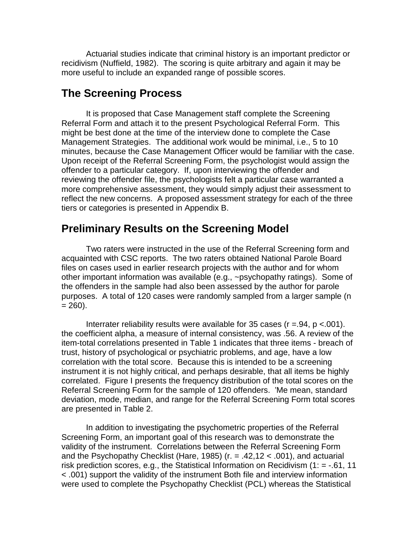Actuarial studies indicate that criminal history is an important predictor or recidivism (Nuffield, 1982). The scoring is quite arbitrary and again it may be more useful to include an expanded range of possible scores.

# **The Screening Process**

It is proposed that Case Management staff complete the Screening Referral Form and attach it to the present Psychological Referral Form. This might be best done at the time of the interview done to complete the Case Management Strategies. The additional work would be minimal, i.e., 5 to 10 minutes, because the Case Management Officer would be familiar with the case. Upon receipt of the Referral Screening Form, the psychologist would assign the offender to a particular category. If, upon interviewing the offender and reviewing the offender file, the psychologists felt a particular case warranted a more comprehensive assessment, they would simply adjust their assessment to reflect the new concerns. A proposed assessment strategy for each of the three tiers or categories is presented in Appendix B.

# **Preliminary Results on the Screening Model**

Two raters were instructed in the use of the Referral Screening form and acquainted with CSC reports. The two raters obtained National Parole Board files on cases used in earlier research projects with the author and for whom other important information was available (e.g., ~psychopathy ratings). Some of the offenders in the sample had also been assessed by the author for parole purposes. A total of 120 cases were randomly sampled from a larger sample (n  $= 260$ ).

Interrater reliability results were available for 35 cases ( $r = .94$ ,  $p < .001$ ). the coefficient alpha, a measure of internal consistency, was .56. A review of the item-total correlations presented in Table 1 indicates that three items - breach of trust, history of psychological or psychiatric problems, and age, have a low correlation with the total score. Because this is intended to be a screening instrument it is not highly critical, and perhaps desirable, that all items be highly correlated. Figure I presents the frequency distribution of the total scores on the Referral Screening Form for the sample of 120 offenders. 'Me mean, standard deviation, mode, median, and range for the Referral Screening Form total scores are presented in Table 2.

In addition to investigating the psychometric properties of the Referral Screening Form, an important goal of this research was to demonstrate the validity of the instrument. Correlations between the Referral Screening Form and the Psychopathy Checklist (Hare, 1985) (r. = .42,12 < .001), and actuarial risk prediction scores, e.g., the Statistical Information on Recidivism  $(1: = -0.61, 11)$ < .001) support the validity of the instrument Both file and interview information were used to complete the Psychopathy Checklist (PCL) whereas the Statistical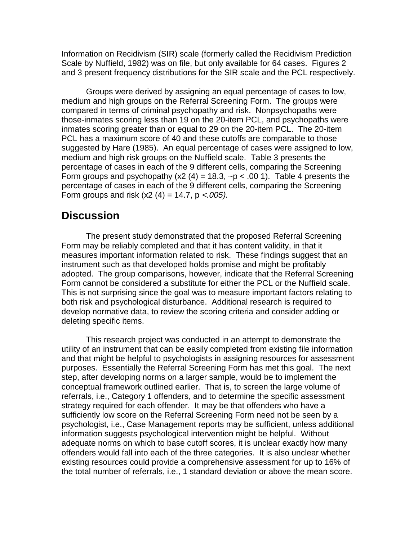Information on Recidivism (SIR) scale (formerly called the Recidivism Prediction Scale by Nuffield, 1982) was on file, but only available for 64 cases. Figures 2 and 3 present frequency distributions for the SIR scale and the PCL respectively.

Groups were derived by assigning an equal percentage of cases to low, medium and high groups on the Referral Screening Form. The groups were compared in terms of criminal psychopathy and risk. Nonpsychopaths were those-inmates scoring less than 19 on the 20-item PCL, and psychopaths were inmates scoring greater than or equal to 29 on the 20-item PCL. The 20-item PCL has a maximum score of 40 and these cutoffs are comparable to those suggested by Hare (1985). An equal percentage of cases were assigned to low, medium and high risk groups on the Nuffield scale. Table 3 presents the percentage of cases in each of the 9 different cells, comparing the Screening Form groups and psychopathy (x2 (4) = 18.3,  $\neg p < .00$  1). Table 4 presents the percentage of cases in each of the 9 different cells, comparing the Screening Form groups and risk  $(x2 (4) = 14.7, p < .005)$ .

### **Discussion**

The present study demonstrated that the proposed Referral Screening Form may be reliably completed and that it has content validity, in that it measures important information related to risk. These findings suggest that an instrument such as that developed holds promise and might be profitably adopted. The group comparisons, however, indicate that the Referral Screening Form cannot be considered a substitute for either the PCL or the Nuffield scale. This is not surprising since the goal was to measure important factors relating to both risk and psychological disturbance. Additional research is required to develop normative data, to review the scoring criteria and consider adding or deleting specific items.

This research project was conducted in an attempt to demonstrate the utility of an instrument that can be easily completed from existing file information and that might be helpful to psychologists in assigning resources for assessment purposes. Essentially the Referral Screening Form has met this goal. The next step, after developing norms on a larger sample, would be to implement the conceptual framework outlined earlier. That is, to screen the large volume of referrals, i.e., Category 1 offenders, and to determine the specific assessment strategy required for each offender. It may be that offenders who have a sufficiently low score on the Referral Screening Form need not be seen by a psychologist, i.e., Case Management reports may be sufficient, unless additional information suggests psychological intervention might be helpful. Without adequate norms on which to base cutoff scores, it is unclear exactly how many offenders would fall into each of the three categories. It is also unclear whether existing resources could provide a comprehensive assessment for up to 16% of the total number of referrals, i.e., 1 standard deviation or above the mean score.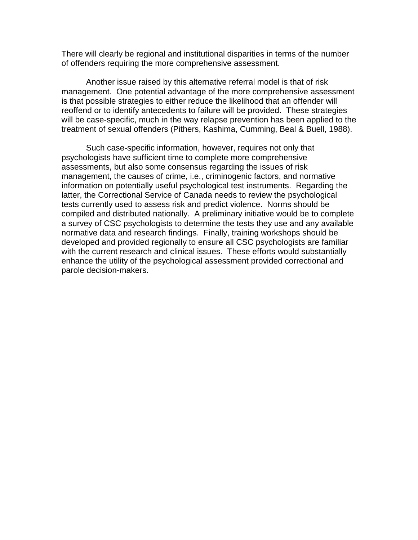There will clearly be regional and institutional disparities in terms of the number of offenders requiring the more comprehensive assessment.

Another issue raised by this alternative referral model is that of risk management. One potential advantage of the more comprehensive assessment is that possible strategies to either reduce the likelihood that an offender will reoffend or to identify antecedents to failure will be provided. These strategies will be case-specific, much in the way relapse prevention has been applied to the treatment of sexual offenders (Pithers, Kashima, Cumming, Beal & Buell, 1988).

Such case-specific information, however, requires not only that psychologists have sufficient time to complete more comprehensive assessments, but also some consensus regarding the issues of risk management, the causes of crime, i.e., criminogenic factors, and normative information on potentially useful psychological test instruments. Regarding the latter, the Correctional Service of Canada needs to review the psychological tests currently used to assess risk and predict violence. Norms should be compiled and distributed nationally. A preliminary initiative would be to complete a survey of CSC psychologists to determine the tests they use and any available normative data and research findings. Finally, training workshops should be developed and provided regionally to ensure all CSC psychologists are familiar with the current research and clinical issues. These efforts would substantially enhance the utility of the psychological assessment provided correctional and parole decision-makers.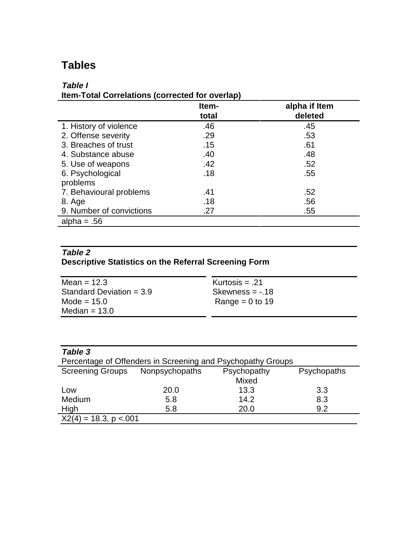# **Tables**

## **Table I**

| Item-Total Correlations (corrected for overlap) |  |
|-------------------------------------------------|--|
|                                                 |  |

|                          | Item- | alpha if Item |
|--------------------------|-------|---------------|
|                          | total | deleted       |
| 1. History of violence   | .46   | .45           |
| 2. Offense severity      | .29   | .53           |
| 3. Breaches of trust     | .15   | .61           |
| 4. Substance abuse       | .40   | .48           |
| 5. Use of weapons        | .42   | .52           |
| 6. Psychological         | .18   | .55           |
| problems                 |       |               |
| 7. Behavioural problems  | .41   | .52           |
| 8. Age                   | .18   | .56           |
| 9. Number of convictions | .27   | .55           |
| alpha = $.56$            |       |               |

### **Table 2 Descriptive Statistics on the Referral Screening Form**

| Mean = $12.3$              | Kurtosis $= .21$  |
|----------------------------|-------------------|
| Standard Deviation = $3.9$ | Skewness $= -18$  |
| Mode = $15.0$              | Range = $0$ to 19 |
| Median $= 13.0$            |                   |

| Table 3                  |                                                             |             |             |
|--------------------------|-------------------------------------------------------------|-------------|-------------|
|                          | Percentage of Offenders in Screening and Psychopathy Groups |             |             |
| <b>Screening Groups</b>  | Nonpsychopaths                                              | Psychopathy | Psychopaths |
|                          |                                                             | Mixed       |             |
| Low                      | 20.0                                                        | 13.3        | 3.3         |
| Medium                   | 5.8                                                         | 14.2        | 8.3         |
| High                     | 5.8                                                         | 20.0        | 9.2         |
| $X2(4) = 18.3$ , p < 001 |                                                             |             |             |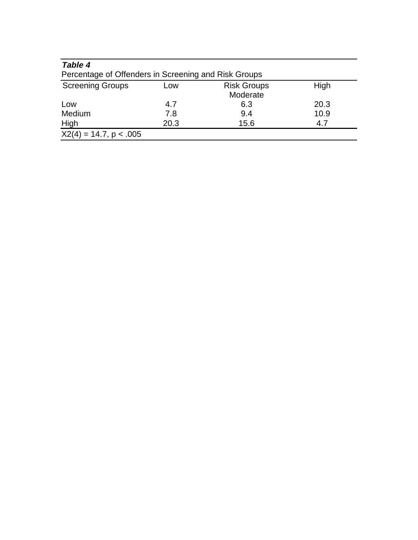| Table 4<br>Percentage of Offenders in Screening and Risk Groups |      |                                |      |
|-----------------------------------------------------------------|------|--------------------------------|------|
| <b>Screening Groups</b>                                         | LOW  | <b>Risk Groups</b><br>Moderate | High |
| Low                                                             | 4.7  | 6.3                            | 20.3 |
| Medium                                                          | 7.8  | 9.4                            | 10.9 |
| <b>High</b>                                                     | 20.3 | 15.6                           | 4.7  |
| $X2(4) = 14.7, p < .005$                                        |      |                                |      |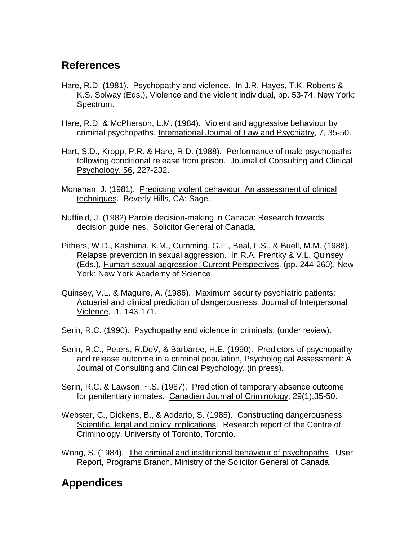# **References**

- Hare, R.D. (1981). Psychopathy and violence. In J.R. Hayes, T.K. Roberts & K.S. Solway (Eds.), Violence and the violent individual, pp. 53-74, New York: Spectrum.
- Hare, R.D. & McPherson, L.M. (1984). Violent and aggressive behaviour by criminal psychopaths. Intemational Joumal of Law and Psychiatry, 7, 35-50.
- Hart, S.D., Kropp, P.R. & Hare, R.D. (1988). Performance of male psychopaths following conditional release from prison. Joumal of Consulting and Clinical Psychology, 56, 227-232.
- Monahan, J**.** (1981). Predicting violent behaviour: An assessment of clinical techniques. Beverly Hills, CA: Sage.
- Nuffield, J. (1982) Parole decision-making in Canada: Research towards decision guidelines. Solicitor General of Canada.
- Pithers, W.D., Kashima, K.M., Cumming, G.F., Beal, L.S., & Buell, M.M. (1988). Relapse prevention in sexual aggression. In R.A. Prentky & V.L. Quinsey (Eds.), Human sexual aggression: Current Perspectives, (pp. 244-260), New York: New York Academy of Science.
- Quinsey, V.L. & Maguire, A. (1986). Maximum security psychiatric patients: Actuarial and clinical prediction of dangerousness. Joumal of Interpersonal Violence, .1, 143-171.
- Serin, R.C. (1990). Psychopathy and violence in criminals. (under review).
- Serin, R.C., Peters, R.DeV, & Barbaree, H.E. (1990). Predictors of psychopathy and release outcome in a criminal population, Psychological Assessment: A Joumal of Consulting and Clinical Psychology. (in press).
- Serin, R.C. & Lawson, ~.S. (1987). Prediction of temporary absence outcome for penitentiary inmates. Canadian Joumal of Criminology, 29(1),35-50.
- Webster, C., Dickens, B., & Addario, S. (1985). Constructing dangerousness: Scientific, legal and policy implications. Research report of the Centre of Criminology, University of Toronto, Toronto.
- Wong, S. (1984). The criminal and institutional behaviour of psychopaths. User Report, Programs Branch, Ministry of the Solicitor General of Canada.

# **Appendices**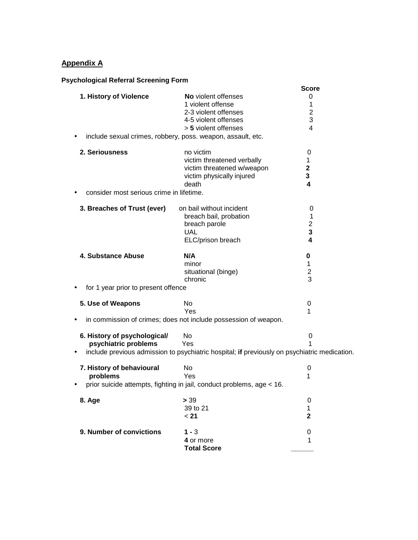#### **Appendix A**

#### **Psychological Referral Screening Form**

|                                                            |                                                                                                                         | <b>Score</b>                       |
|------------------------------------------------------------|-------------------------------------------------------------------------------------------------------------------------|------------------------------------|
| 1. History of Violence                                     | <b>No</b> violent offenses<br>1 violent offense<br>2-3 violent offenses<br>4-5 violent offenses<br>> 5 violent offenses | 0<br>1<br>$\overline{2}$<br>3<br>4 |
|                                                            | include sexual crimes, robbery, poss. weapon, assault, etc.                                                             |                                    |
| 2. Seriousness<br>consider most serious crime in lifetime. | no victim<br>victim threatened verbally<br>victim threatened w/weapon<br>victim physically injured<br>death             | 0<br>1<br>$\mathbf 2$<br>3<br>4    |
| 3. Breaches of Trust (ever)                                | on bail without incident<br>breach bail, probation<br>breach parole<br><b>UAL</b><br>ELC/prison breach                  | 0<br>1<br>$\overline{2}$<br>3<br>4 |
| 4. Substance Abuse                                         | N/A<br>minor<br>situational (binge)<br>chronic                                                                          | 0<br>1<br>$\overline{2}$<br>3      |
| for 1 year prior to present offence                        |                                                                                                                         |                                    |
| 5. Use of Weapons                                          | No.<br>Yes<br>in commission of crimes; does not include possession of weapon.                                           | 0<br>1                             |
| 6. History of psychological/<br>psychiatric problems       | No.<br>Yes<br>include previous admission to psychiatric hospital; if previously on psychiatric medication.              | 0<br>1                             |
| 7. History of behavioural<br>problems                      | No<br>Yes<br>prior suicide attempts, fighting in jail, conduct problems, age < 16.                                      | 0<br>1                             |
| 8. Age                                                     | > 39<br>39 to 21<br>< 21                                                                                                | 0<br>1<br>2                        |
| 9. Number of convictions                                   | $1 - 3$<br>4 or more<br><b>Total Score</b>                                                                              | 0<br>1                             |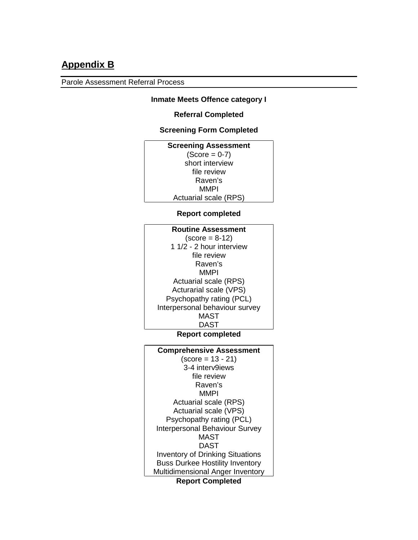# **Appendix B**

Parole Assessment Referral Process

#### **Inmate Meets Offence category I**

#### **Referral Completed**

#### **Screening Form Completed**

| <b>Screening Assessment</b>  |
|------------------------------|
| $(Score = 0-7)$              |
| short interview              |
| file review                  |
| Raven's                      |
| MMPI                         |
| <b>Actuarial scale (RPS)</b> |

#### **Report completed**

| <b>Routine Assessment</b>      |
|--------------------------------|
| $(score = 8-12)$               |
| 1 1/2 - 2 hour interview       |
| file review                    |
| Raven's                        |
| MMPI                           |
| <b>Actuarial scale (RPS)</b>   |
| Acturarial scale (VPS)         |
| Psychopathy rating (PCL)       |
| Interpersonal behaviour survey |
| <b>MAST</b>                    |
| DAST                           |

#### **Report completed**

| <b>Comprehensive Assessment</b>         |
|-----------------------------------------|
| $(score = 13 - 21)$                     |
| 3-4 interv9iews                         |
| file review                             |
| Raven's                                 |
| MMPI                                    |
| Actuarial scale (RPS)                   |
| Actuarial scale (VPS)                   |
| Psychopathy rating (PCL)                |
| <b>Interpersonal Behaviour Survey</b>   |
| MAST                                    |
| DAST                                    |
| <b>Inventory of Drinking Situations</b> |
| <b>Buss Durkee Hostility Inventory</b>  |
| Multidimensional Anger Inventory        |
| <b>Report Completed</b>                 |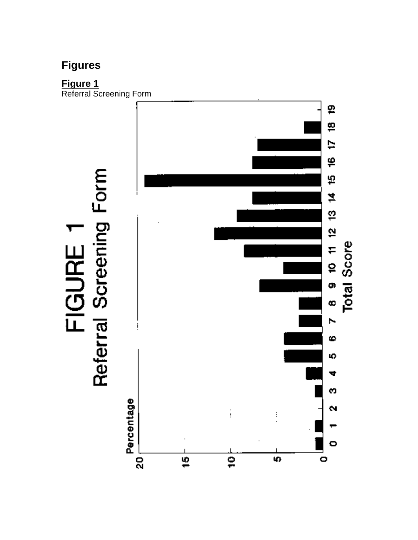# **Figures**

**Figure 1**

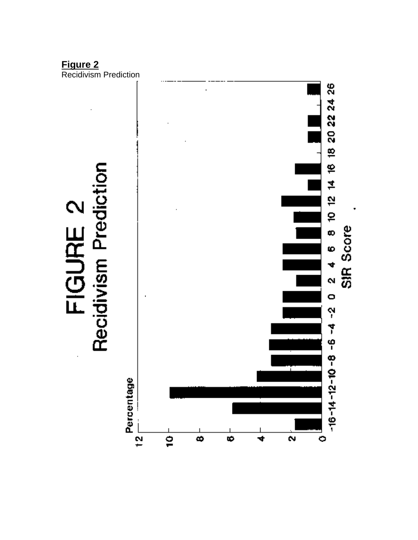